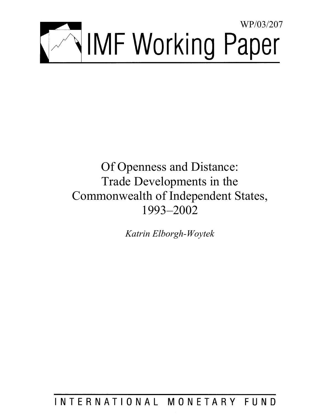

# Of Openness and Distance: Trade Developments in the Commonwealth of Independent States, 1993–2002

*Katrin Elborgh-Woytek* 

INTERNATIONAL MONETARY FUND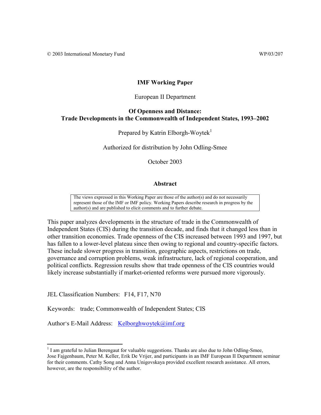## **IMF Working Paper**

### European II Department

# **Of Openness and Distance: Trade Developments in the Commonwealth of Independent States, 1993–2002**

Prepared by Katrin Elborgh-Woytek<sup>1</sup>

Authorized for distribution by John Odling-Smee

October 2003

### **Abstract**

The views expressed in this Working Paper are those of the author(s) and do not necessarily represent those of the IMF or IMF policy. Working Papers describe research in progress by the author(s) and are published to elicit comments and to further debate.

This paper analyzes developments in the structure of trade in the Commonwealth of Independent States (CIS) during the transition decade, and finds that it changed less than in other transition economies. Trade openness of the CIS increased between 1993 and 1997, but has fallen to a lower-level plateau since then owing to regional and country-specific factors. These include slower progress in transition, geographic aspects, restrictions on trade, governance and corruption problems, weak infrastructure, lack of regional cooperation, and political conflicts. Regression results show that trade openness of the CIS countries would likely increase substantially if market-oriented reforms were pursued more vigorously.

JEL Classification Numbers: F14, F17, N70

 $\overline{a}$ 

Keywords: trade; Commonwealth of Independent States; CIS

Author's E-Mail Address: Kelborghwoytek@imf.org

<sup>&</sup>lt;sup>1</sup> I am grateful to Julian Berengaut for valuable suggestions. Thanks are also due to John Odling-Smee, Jose Fajgenbaum, Peter M. Keller, Erik De Vrijer, and participants in an IMF European II Department seminar for their comments. Cathy Song and Anna Unigovskaya provided excellent research assistance. All errors, however, are the responsibility of the author.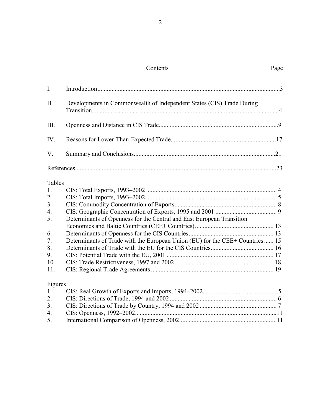# Contents Page

| $I_{\cdot}$ |                                                                               |  |
|-------------|-------------------------------------------------------------------------------|--|
| II.         | Developments in Commonwealth of Independent States (CIS) Trade During         |  |
| III.        |                                                                               |  |
| IV.         |                                                                               |  |
| V.          |                                                                               |  |
|             |                                                                               |  |
| Tables      |                                                                               |  |
| 1.          |                                                                               |  |
| 2.          |                                                                               |  |
| 3.          |                                                                               |  |
| 4.          |                                                                               |  |
| 5.          | Determinants of Openness for the Central and East European Transition         |  |
|             |                                                                               |  |
| 6.          |                                                                               |  |
| 7.          | Determinants of Trade with the European Union (EU) for the CEE+ Countries  15 |  |
| 8.          |                                                                               |  |
| 9.          |                                                                               |  |
| 10.         |                                                                               |  |
| 11.         |                                                                               |  |
| Figures     |                                                                               |  |
| $1_{\cdot}$ |                                                                               |  |

| 2. |  |
|----|--|
| 3. |  |
|    |  |
| 5. |  |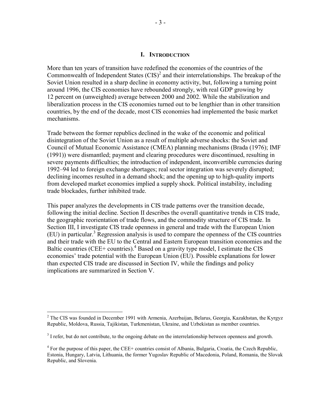#### **I. INTRODUCTION**

More than ten years of transition have redefined the economies of the countries of the Commonwealth of Independent States  $(CIS)^2$  and their interrelationships. The breakup of the Soviet Union resulted in a sharp decline in economy activity, but, following a turning point around 1996, the CIS economies have rebounded strongly, with real GDP growing by 12 percent on (unweighted) average between 2000 and 2002. While the stabilization and liberalization process in the CIS economies turned out to be lengthier than in other transition countries, by the end of the decade, most CIS economies had implemented the basic market mechanisms.

Trade between the former republics declined in the wake of the economic and political disintegration of the Soviet Union as a result of multiple adverse shocks: the Soviet and Council of Mutual Economic Assistance (CMEA) planning mechanisms (Brada (1976); IMF (1991)) were dismantled; payment and clearing procedures were discontinued, resulting in severe payments difficulties; the introduction of independent, inconvertible currencies during 1992–94 led to foreign exchange shortages; real sector integration was severely disrupted; declining incomes resulted in a demand shock; and the opening up to high-quality imports from developed market economies implied a supply shock. Political instability, including trade blockades, further inhibited trade.

This paper analyzes the developments in CIS trade patterns over the transition decade, following the initial decline. Section II describes the overall quantitative trends in CIS trade, the geographic reorientation of trade flows, and the commodity structure of CIS trade. In Section III, I investigate CIS trade openness in general and trade with the European Union  $(EU)$  in particular.<sup>3</sup> Regression analysis is used to compare the openness of the CIS countries and their trade with the EU to the Central and Eastern European transition economies and the Baltic countries (CEE+ countries). $^{4}$  Based on a gravity type model, I estimate the CIS economies' trade potential with the European Union (EU). Possible explanations for lower than expected CIS trade are discussed in Section IV, while the findings and policy implications are summarized in Section V.

<sup>&</sup>lt;sup>2</sup> The CIS was founded in December 1991 with Armenia, Azerbaijan, Belarus, Georgia, Kazakhstan, the Kyrgyz Republic, Moldova, Russia, Tajikistan, Turkmenistan, Ukraine, and Uzbekistan as member countries.

 $3<sup>3</sup>$  I refer, but do not contribute, to the ongoing debate on the interrelationship between openness and growth.

<sup>&</sup>lt;sup>4</sup> For the purpose of this paper, the CEE+ countries consist of Albania, Bulgaria, Croatia, the Czech Republic, Estonia, Hungary, Latvia, Lithuania, the former Yugoslav Republic of Macedonia, Poland, Romania, the Slovak Republic, and Slovenia.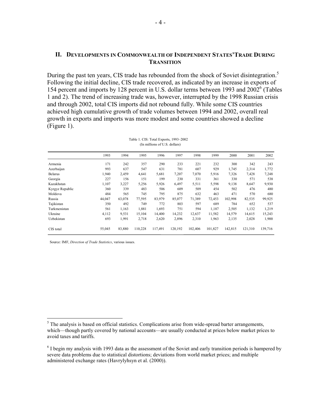### **II. DEVELOPMENTS IN COMMONWEALTH OF INDEPENDENT STATES'TRADE DURING TRANSITION**

During the past ten years, CIS trade has rebounded from the shock of Soviet disintegration.<sup>5</sup> Following the initial decline, CIS trade recovered, as indicated by an increase in exports of 154 percent and imports by 128 percent in U.S. dollar terms between 1993 and 2002<sup>6</sup> (Tables 1 and 2). The trend of increasing trade was, however, interrupted by the 1998 Russian crisis and through 2002, total CIS imports did not rebound fully. While some CIS countries achieved high cumulative growth of trade volumes between 1994 and 2002, overall real growth in exports and imports was more modest and some countries showed a decline (Figure 1).

|                 | 1993   | 1994   | 1995    | 1996    | 1997    | 1998    | 1999    | 2000    | 2001    | 2002    |
|-----------------|--------|--------|---------|---------|---------|---------|---------|---------|---------|---------|
| Armenia         | 171    | 242    | 357     | 290     | 233     | 221     | 232     | 300     | 342     | 243     |
| Azerbaijan      | 993    | 637    | 547     | 631     | 781     | 607     | 929     | 1,745   | 2,314   | 1,772   |
| <b>Belarus</b>  | 1,940  | 2,459  | 4,641   | 5,681   | 7,207   | 7,070   | 5,916   | 7,326   | 7,428   | 7,248   |
| Georgia         | 227    | 156    | 151     | 199     | 230     | 331     | 361     | 330     | 571     | 538     |
| Kazakhstan      | 1,107  | 3,227  | 5,256   | 5,926   | 6,497   | 5,511   | 5,598   | 9,138   | 8,647   | 9,930   |
| Kyrgyz Republic | 360    | 339    | 483     | 506     | 609     | 509     | 454     | 502     | 476     | 480     |
| Moldova         | 484    | 565    | 745     | 795     | 875     | 632     | 463     | 471     | 570     | 680     |
| Russia          | 44,047 | 63,078 | 77,595  | 83,979  | 85,077  | 71,389  | 72,453  | 102,998 | 82,535  | 99,925  |
| Tajikistan      | 350    | 492    | 749     | 772     | 803     | 597     | 689     | 784     | 652     | 537     |
| Turkmenistan    | 561    | 1,163  | 1,881   | 1,693   | 751     | 594     | 1,187   | 2,505   | 1,132   | 1,219   |
| Ukraine         | 4,112  | 9,531  | 15,104  | 14.400  | 14,232  | 12,637  | 11,582  | 14,579  | 14,615  | 15,243  |
| Uzbekistan      | 693    | 1,991  | 2,718   | 2,620   | 2,896   | 2,310   | 1,963   | 2,135   | 2,028   | 1,900   |
| CIS total       | 55,045 | 83,880 | 110,228 | 117,491 | 120,192 | 102,406 | 101,827 | 142,815 | 121,310 | 139,716 |

Table 1. CIS: Total Exports, 1993–2002 (In millions of U.S. dollars)

Source: IMF, *Direction of Trade Statistics*, various issues.

<sup>&</sup>lt;sup>5</sup>The analysis is based on official statistics. Complications arise from wide-spread barter arrangements, which—though partly covered by national accounts—are usually conducted at prices below market prices to avoid taxes and tariffs.

 $<sup>6</sup>$  I begin my analysis with 1993 data as the assessment of the Soviet and early transition periods is hampered by</sup> severe data problems due to statistical distortions; deviations from world market prices; and multiple administered exchange rates (Havrylyhsyn et al. (2000)).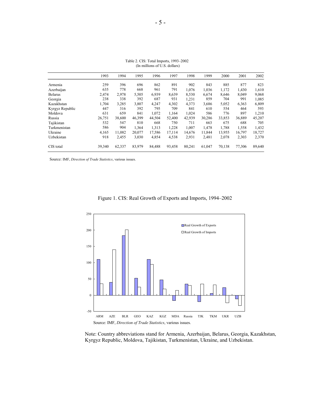|                 | 1993   | 1994   | 1995   | 1996   | 1997   | 1998   | 1999   | 2000   | 2001   | 2002   |
|-----------------|--------|--------|--------|--------|--------|--------|--------|--------|--------|--------|
| Armenia         | 259    | 396    | 696    | 862    | 891    | 902    | 843    | 885    | 877    | 823    |
| Azerbaijan      | 635    | 778    | 668    | 961    | 791    | 1,076  | 1,036  | 1,172  | 1,430  | 1,610  |
| <b>Belarus</b>  | 2,474  | 2,978  | 5,505  | 6,939  | 8,639  | 8,530  | 6,674  | 8,646  | 8,049  | 9,068  |
| Georgia         | 238    | 338    | 392    | 687    | 931    | 1,231  | 859    | 704    | 991    | 1,085  |
| Kazakhstan      | 1,704  | 3,285  | 3,807  | 4,247  | 4,302  | 4,373  | 3,686  | 5,052  | 6,363  | 6,809  |
| Kyrgyz Republic | 447    | 316    | 392    | 795    | 709    | 841    | 610    | 554    | 464    | 593    |
| Moldova         | 631    | 659    | 841    | 1,072  | 1,164  | 1,024  | 586    | 776    | 897    | 1,210  |
| Russia          | 26,751 | 38,600 | 46,399 | 44,504 | 52,400 | 42,939 | 30,286 | 33,853 | 36,889 | 45,207 |
| Tajikistan      | 532    | 547    | 810    | 668    | 750    | 711    | 663    | 675    | 688    | 705    |
| Turkmenistan    | 586    | 904    | 1,364  | 1,313  | 1,228  | 1,007  | 1,478  | 1,788  | 1,558  | 1,432  |
| Ukraine         | 4,165  | 11,082 | 20,077 | 17,586 | 17,114 | 14,676 | 11,844 | 13,955 | 16,797 | 18,727 |
| Uzbekistan      | 918    | 2,455  | 3,030  | 4,854  | 4,538  | 2,931  | 2,481  | 2,078  | 2,303  | 2,370  |
| CIS total       | 39,340 | 62,337 | 83,979 | 84,488 | 93,458 | 80,241 | 61,047 | 70,138 | 77,306 | 89,640 |

Table 2. CIS: Total Imports, 1993–2002 (In millions of U.S. dollars)

Source: IMF, *Direction of Trade Statistics*, various issues.





 Note: Country abbreviations stand for Armenia, Azerbaijan, Belarus, Georgia, Kazakhstan, Kyrgyz Republic, Moldova, Tajikistan, Turkmenistan, Ukraine, and Uzbekistan.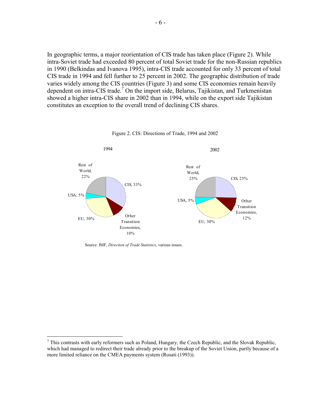In geographic terms, a major reorientation of CIS trade has taken place (Figure 2). While intra-Soviet trade had exceeded 80 percent of total Soviet trade for the non-Russian republics in 1990 (Belkindas and Ivanova 1995), intra-CIS trade accounted for only 33 percent of total CIS trade in 1994 and fell further to 25 percent in 2002. The geographic distribution of trade varies widely among the CIS countries (Figure 3) and some CIS economies remain heavily dependent on intra-CIS trade.<sup>7</sup> On the import side, Belarus, Tajikistan, and Turkmenistan showed a higher intra-CIS share in 2002 than in 1994, while on the export side Tajikistan constitutes an exception to the overall trend of declining CIS shares.



Figure 2. CIS: Directions of Trade, 1994 and 2002

Source: IMF, *Direction of Trade Statistics*, various issues.

 $^7$  This contrasts with early reformers such as Poland, Hungary, the Czech Republic, and the Slovak Republic, which had managed to redirect their trade already prior to the breakup of the Soviet Union, partly because of a more limited reliance on the CMEA payments system (Rosati (1993)).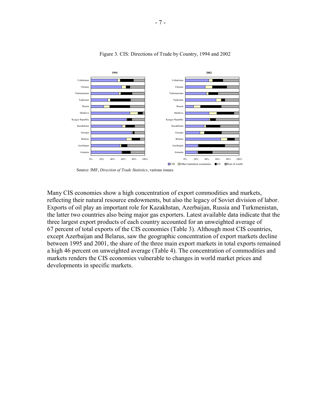

#### Figure 3. CIS: Directions of Trade by Country, 1994 and 2002

Source: IMF, *Direction of Trade Statistics*, various issues.

Many CIS economies show a high concentration of export commodities and markets, reflecting their natural resource endowments, but also the legacy of Soviet division of labor. Exports of oil play an important role for Kazakhstan, Azerbaijan, Russia and Turkmenistan, the latter two countries also being major gas exporters. Latest available data indicate that the three largest export products of each country accounted for an unweighted average of 67 percent of total exports of the CIS economies (Table 3). Although most CIS countries, except Azerbaijan and Belarus, saw the geographic concentration of export markets decline between 1995 and 2001, the share of the three main export markets in total exports remained a high 46 percent on unweighted average (Table 4). The concentration of commodities and markets renders the CIS economies vulnerable to changes in world market prices and developments in specific markets.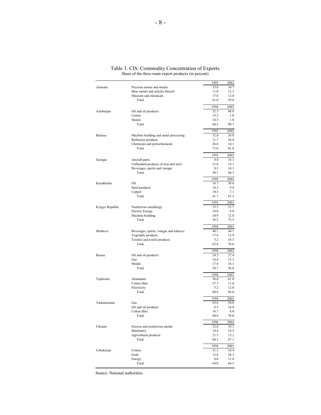|                 |                                                            | 1995         | 2001         |
|-----------------|------------------------------------------------------------|--------------|--------------|
| Armenia         | Precious stones and metals                                 | 33.0         | 34.7         |
|                 | Base metals and articles thereof<br>Minerals and chemicals | 11.0<br>17.0 | 12.3<br>12.0 |
|                 | Total                                                      | 61.0         | 59.0         |
|                 |                                                            | 1994         | 2002         |
| Azerbaijan      | Oil and oil products                                       | 32.5         | 88.8         |
|                 | Cotton                                                     | 15.5         | 1.0          |
|                 | Metals                                                     | 16.5         | 1.0          |
|                 | Total                                                      | 64.5         | 90.7         |
|                 |                                                            | 1995         | 2002         |
| <b>Belarus</b>  | Machine building and metal processing                      | 32.8         | 26.0         |
|                 | Refineries products<br>Chemicals and petrochemicals        | 11.7<br>26.6 | 20.8<br>14.1 |
|                 | Total                                                      | 71.0         | 61.0         |
|                 |                                                            |              |              |
| Georgia         | Aircraft parts                                             | 1995<br>0.0  | 2002<br>16.1 |
|                 | Unfinished products of iron and steel                      | 21.8         | 14.1         |
|                 | Beverages, spirits and vinegar                             | 8.3          | 14.1         |
|                 | Total                                                      | 30.1         | 44.3         |
|                 |                                                            | 1995         | 2002         |
| Kazakhstan      | Oil                                                        | 16.7         | 50.6         |
|                 | Steel products                                             | 14.5         | 9.8          |
|                 | Copper<br>Total                                            | 10.5<br>41.7 | 7.1<br>67.5  |
|                 |                                                            |              |              |
| Kyrgyz Republic | Nonferrous metallurgy                                      | 1995<br>15.3 | 2001<br>51.7 |
|                 | <b>Electric Energy</b>                                     | 10.0         | 9.8          |
|                 | Machine building                                           | 10.9         | 12.0         |
|                 | Total                                                      | 36.2         | 73.5         |
|                 |                                                            | 1994         | 2001         |
| Moldova         | Beverages, spirits, vinegar and tobacco                    | 40.1         | 44.1         |
|                 | Vegetable products                                         | 17.6<br>5.2  | 13.9<br>18.5 |
|                 | Textiles and textile products<br>Total                     | 62.8         | 76.6         |
|                 |                                                            |              |              |
| Russia          | Oil and oil products                                       | 1994<br>24.5 | 2002<br>27.4 |
|                 | Gas                                                        | 16.4         | 15.3         |
|                 | Metals                                                     | 17.8         | 14.1         |
|                 | Total                                                      | 58.7         | 56.8         |
|                 |                                                            | 1994         | 2001         |
| Tajikistan      | Aluminum                                                   | 56.0         | 61.0         |
|                 | Cotton fiber                                               | 27.7         | 11.0         |
|                 | Electricity<br>Total                                       | 5.2<br>88.9  | 12.0<br>84.0 |
|                 |                                                            |              |              |
| Turkmenistan    | Gas                                                        | 1994<br>65.6 | 2002<br>58.0 |
|                 | Oil and oil products                                       | 8.5          | 14.0         |
|                 | Cotton fiber                                               | 16.7         | 6.0          |
|                 | Total                                                      | 90.9         | 78.0         |
|                 |                                                            | 1996         | 2002         |
| Ukraine         | Ferrous and nonferrous metals                              | 32.6         | 39.3         |
|                 | Machinery                                                  | 14.4         | 14.5         |
|                 | Agricultural products<br>Total                             | 21.3<br>68.3 | 13.2<br>67.1 |
|                 |                                                            |              |              |
| Uzbekistan      | Cotton                                                     | 1994<br>51.3 | 2001<br>24.4 |
|                 | Gold                                                       | 12.8         | 28.3         |
|                 | Energy                                                     | 0.0          | 11.8         |
|                 | Total                                                      | 64.0         | 64.5         |
|                 |                                                            |              |              |

Table 3. CIS: Commodity Concentration of Exports Share of the three main export products (in percent)

Source: National authorities.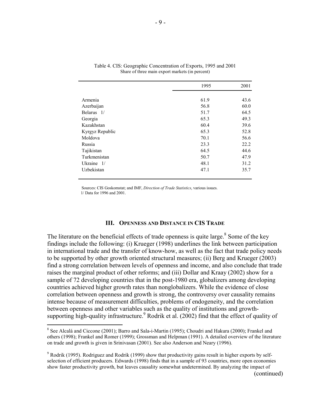|                 | 1995 | 2001 |
|-----------------|------|------|
|                 |      |      |
| Armenia         | 61.9 | 43.6 |
| Azerbaijan      | 56.8 | 60.0 |
| Belarus 1/      | 51.7 | 64.5 |
| Georgia         | 65.3 | 49.3 |
| Kazakhstan      | 60.4 | 39.6 |
| Kyrgyz Republic | 65.3 | 52.8 |
| Moldova         | 70.1 | 56.6 |
| Russia          | 23.3 | 22.2 |
| Tajikistan      | 64.5 | 44.6 |
| Turkmenistan    | 50.7 | 47.9 |
| Ukraine $1/$    | 48.1 | 31.2 |
| Uzbekistan      | 47.1 | 35.7 |
|                 |      |      |

| Table 4. CIS: Geographic Concentration of Exports, 1995 and 2001 |
|------------------------------------------------------------------|
| Share of three main export markets (in percent)                  |

 Sources: CIS Goskomstat; and IMF, *Direction of Trade Statistics*, various issues. 1/ Data for 1996 and 2001.

#### **III. OPENNESS AND DISTANCE IN CIS TRADE**

The literature on the beneficial effects of trade openness is quite large. $8$  Some of the key findings include the following: (i) Krueger (1998) underlines the link between participation in international trade and the transfer of know-how, as well as the fact that trade policy needs to be supported by other growth oriented structural measures; (ii) Berg and Krueger (2003) find a strong correlation between levels of openness and income, and also conclude that trade raises the marginal product of other reforms; and (iii) Dollar and Kraay (2002) show for a sample of 72 developing countries that in the post-1980 era, globalizers among developing countries achieved higher growth rates than nonglobalizers. While the evidence of close correlation between openness and growth is strong, the controversy over causality remains intense because of measurement difficulties, problems of endogeneity, and the correlation between openness and other variables such as the quality of institutions and growthsupporting high-quality infrastructure.<sup>9</sup> Rodrik et al. (2002) find that the effect of quality of

1

<sup>&</sup>lt;sup>8</sup> See Alcalá and Ciccone (2001); Barro and Sala-i-Martin (1995); Choudri and Hakura (2000); Frankel and others (1998); Frankel and Romer (1999); Grossman and Helpman (1991). A detailed overview of the literature on trade and growth is given in Srinivasan (2001). See also Anderson and Neary (1996).

<sup>&</sup>lt;sup>9</sup> Rodrik (1995). Rodriguez and Rodrik (1999) show that productivity gains result in higher exports by selfselection of efficient producers. Edwards (1998) finds that in a sample of 93 countries, more open economies show faster productivity growth, but leaves causality somewhat undetermined. By analyzing the impact of (continued)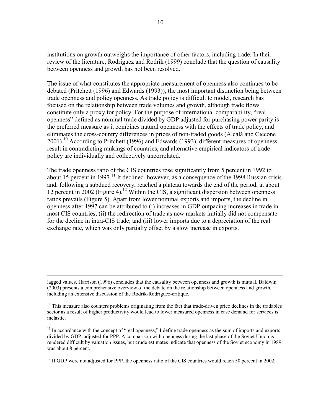institutions on growth outweighs the importance of other factors, including trade. In their review of the literature, Rodriguez and Rodrik (1999) conclude that the question of causality between openness and growth has not been resolved.

The issue of what constitutes the appropriate measurement of openness also continues to be debated (Pritchett (1996) and Edwards (1993)), the most important distinction being between trade openness and policy openness. As trade policy is difficult to model, research has focused on the relationship between trade volumes and growth, although trade flows constitute only a proxy for policy. For the purpose of international comparability, "real openness" defined as nominal trade divided by GDP adjusted for purchasing power parity is the preferred measure as it combines natural openness with the effects of trade policy, and eliminates the cross-country differences in prices of non-traded goods (Alcalá and Ciccone  $2001$ ).<sup>10</sup> According to Pritchett (1996) and Edwards (1993), different measures of openness result in contradicting rankings of countries, and alternative empirical indicators of trade policy are individually and collectively uncorrelated.

The trade openness ratio of the CIS countries rose significantly from 5 percent in 1992 to about 15 percent in 1997.<sup>11</sup> It declined, however, as a consequence of the 1998 Russian crisis and, following a subdued recovery, reached a plateau towards the end of the period, at about 12 percent in 2002 (Figure 4).<sup>12</sup> Within the CIS, a significant dispersion between openness ratios prevails (Figure 5). Apart from lower nominal exports and imports, the decline in openness after 1997 can be attributed to (i) increases in GDP outpacing increases in trade in most CIS countries; (ii) the redirection of trade as new markets initially did not compensate for the decline in intra-CIS trade; and (iii) lower imports due to a depreciation of the real exchange rate, which was only partially offset by a slow increase in exports.

 $12$  If GDP were not adjusted for PPP, the openness ratio of the CIS countries would reach 50 percent in 2002.

lagged values, Harrison (1996) concludes that the causality between openness and growth is mutual. Baldwin (2003) presents a comprehensive overview of the debate on the relationship between openness and growth, including an extensive discussion of the Rodrik-Rodriguez-critique.

 $10$  This measure also counters problems originating from the fact that trade-driven price declines in the tradables sector as a result of higher productivity would lead to lower measured openness in case demand for services is inelastic.

 $11$  In accordance with the concept of "real openness," I define trade openness as the sum of imports and exports divided by GDP, adjusted for PPP. A comparison with openness during the last phase of the Soviet Union is rendered difficult by valuation issues, but crude estimates indicate that openness of the Soviet economy in 1989 was about 8 percent.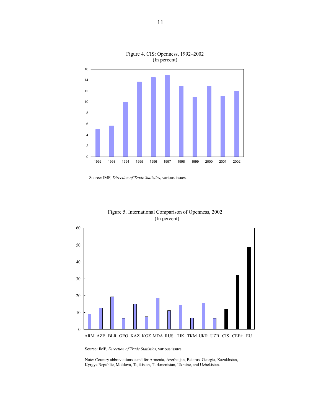

Figure 4. CIS: Openness, 1992–2002 (In percent)





Figure 5. International Comparison of Openness, 2002 (In percent)

Source: IMF, *Direction of Trade Statistics*, various issues.

Note: Country abbreviations stand for Armenia, Azerbaijan, Belarus, Georgia, Kazakhstan, Kyrgyz Republic, Moldova, Tajikistan, Turkmenistan, Ukraine, and Uzbekistan.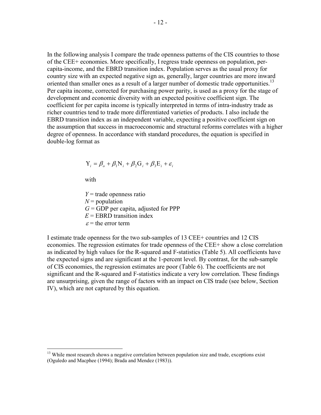In the following analysis I compare the trade openness patterns of the CIS countries to those of the CEE+ economies. More specifically, I regress trade openness on population, percapita-income, and the EBRD transition index. Population serves as the usual proxy for country size with an expected negative sign as, generally, larger countries are more inward oriented than smaller ones as a result of a larger number of domestic trade opportunities.<sup>13</sup> Per capita income, corrected for purchasing power parity, is used as a proxy for the stage of development and economic diversity with an expected positive coefficient sign. The coefficient for per capita income is typically interpreted in terms of intra-industry trade as richer countries tend to trade more differentiated varieties of products. I also include the EBRD transition index as an independent variable, expecting a positive coefficient sign on the assumption that success in macroeconomic and structural reforms correlates with a higher degree of openness. In accordance with standard procedures, the equation is specified in double-log format as

$$
Y_i = \beta_o + \beta_1 N_i + \beta_2 G_i + \beta_3 E_i + \varepsilon_i
$$

with

<u>.</u>

*Y* = trade openness ratio  $N =$  population  $G = GDP$  per capita, adjusted for PPP  $E =$ **EBRD** transition index  $\varepsilon$  = the error term

I estimate trade openness for the two sub-samples of 13 CEE+ countries and 12 CIS economies. The regression estimates for trade openness of the CEE+ show a close correlation as indicated by high values for the R-squared and F-statistics (Table 5). All coefficients have the expected signs and are significant at the 1-percent level. By contrast, for the sub-sample of CIS economies, the regression estimates are poor (Table 6). The coefficients are not significant and the R-squared and F-statistics indicate a very low correlation. These findings are unsurprising, given the range of factors with an impact on CIS trade (see below, Section IV), which are not captured by this equation.

<sup>&</sup>lt;sup>13</sup> While most research shows a negative correlation between population size and trade, exceptions exist (Oguledo and Macphee (1994); Brada and Mendez (1983)).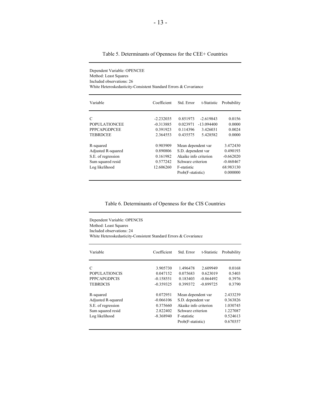| Table 5. Determinants of Openness for the CEE+ Countries |  |  |  |  |  |  |  |  |  |  |  |
|----------------------------------------------------------|--|--|--|--|--|--|--|--|--|--|--|
|----------------------------------------------------------|--|--|--|--|--|--|--|--|--|--|--|

Dependent Variable: OPENCEE

| Method: Least Squares<br>Included observations: 26<br>White Heteroskedasticity-Consistent Standard Errors & Covariance |                                                           |                                                                                                                            |                                                     |                                                                             |  |  |
|------------------------------------------------------------------------------------------------------------------------|-----------------------------------------------------------|----------------------------------------------------------------------------------------------------------------------------|-----------------------------------------------------|-----------------------------------------------------------------------------|--|--|
| Variable                                                                                                               | Coefficient                                               | Std. Error                                                                                                                 | t-Statistic                                         | Probability                                                                 |  |  |
| C<br><b>POPULATIONCEE</b><br><b>PPPCAPGDPCEE</b><br><b>TEBRDCEE</b>                                                    | $-2.232035$<br>$-0.313885$<br>0.391923<br>2.364553        | 0.851973<br>0.023971<br>0.114396<br>0.435575                                                                               | $-2.619843$<br>$-13.094400$<br>3.426031<br>5.428582 | 0.0156<br>0.0000<br>0.0024<br>0.0000                                        |  |  |
| R-squared<br>Adjusted R-squared<br>S.E. of regression<br>Sum squared resid<br>Log likelihood                           | 0.903909<br>0.890806<br>0.161982<br>0.577242<br>12.606260 | Mean dependent var<br>S.D. dependent var<br>Akaike info criterion<br>Schwarz criterion<br>F-statistic<br>Prob(F-statistic) |                                                     | 3.472430<br>0.490193<br>$-0.662020$<br>$-0.468467$<br>68.983130<br>0.000000 |  |  |

Table 6. Determinants of Openness for the CIS Countries

Dependent Variable: OPENCIS Method: Least Squares Included observations: 24 White Heteroskedasticity-Consistent Standard Errors & Covariance

| Variable             | Coefficient | Std. Error            | t-Statistic | Probability |
|----------------------|-------------|-----------------------|-------------|-------------|
| $\mathcal{C}$        | 3.905730    | 1.496478              | 2.609949    | 0.0168      |
| <b>POPULATIONCIS</b> | 0.047152    | 0.075683              | 0.623019    | 0.5403      |
| <b>PPPCAPGDPCIS</b>  | $-0.158551$ | 0.183403              | $-0.864492$ | 0.3976      |
| <b>TEBRDCIS</b>      | $-0.359325$ | 0.399372              | $-0.899725$ | 0.3790      |
| R-squared            | 0.072951    | Mean dependent var    |             | 2.433239    |
| Adjusted R-squared   | $-0.066106$ | S.D. dependent var    |             | 0.363826    |
| S.E. of regression   | 0.375660    | Akaike info criterion |             | 1.030745    |
| Sum squared resid    | 2.822402    | Schwarz criterion     |             | 1.227087    |
| Log likelihood       | $-8.368940$ | F-statistic           |             | 0.524613    |
|                      |             | Prob(F-statistic)     |             | 0.670357    |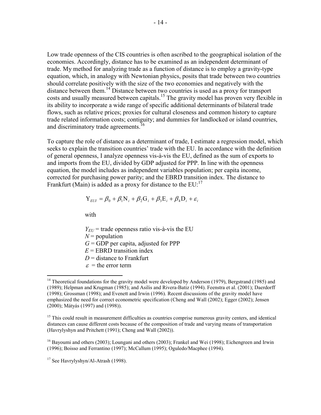Low trade openness of the CIS countries is often ascribed to the geographical isolation of the economies. Accordingly, distance has to be examined as an independent determinant of trade. My method for analyzing trade as a function of distance is to employ a gravity-type equation, which, in analogy with Newtonian physics, posits that trade between two countries should correlate positively with the size of the two economies and negatively with the distance between them.<sup>14</sup> Distance between two countries is used as a proxy for transport costs and usually measured between capitals.<sup>15</sup> The gravity model has proven very flexible in its ability to incorporate a wide range of specific additional determinants of bilateral trade flows, such as relative prices; proxies for cultural closeness and common history to capture trade related information costs; contiguity; and dummies for landlocked or island countries, and discriminatory trade agreements.<sup>16</sup>

To capture the role of distance as a determinant of trade, I estimate a regression model, which seeks to explain the transition countries' trade with the EU. In accordance with the definition of general openness, I analyze openness vis-à-vis the EU, defined as the sum of exports to and imports from the EU, divided by GDP adjusted for PPP. In line with the openness equation, the model includes as independent variables population; per capita income, corrected for purchasing power parity; and the EBRD transition index. The distance to Frankfurt (Main) is added as a proxy for distance to the  $EU:^{17}$ 

$$
Y_{EUI} = \beta_0 + \beta_1 N_i + \beta_2 G_i + \beta_3 E_i + \beta_4 D_i + \varepsilon_i
$$

with

<u>.</u>

 $Y_{EU}$  = trade openness ratio vis-à-vis the EU

 $N =$  population

 $G = GDP$  per capita, adjusted for PPP

 $E =$  EBRD transition index

 $D =$  distance to Frankfurt

 $\varepsilon$  = the error term

<sup>&</sup>lt;sup>14</sup> Theoretical foundations for the gravity model were developed by Anderson (1979), Bergstrand (1985) and (1989); Helpman and Krugman (1985); and Asilis and Rivera-Batiz (1994). Feenstra et al. (2001); Daerdorff (1998); Grossman (1998); and Evenett and Irwin (1996). Recent discussions of the gravity model have emphasized the need for correct econometric specification (Cheng and Wall (2002); Egger (2002); Jensen (2000); Mátyás (1997) and (1998)).

<sup>&</sup>lt;sup>15</sup> This could result in measurement difficulties as countries comprise numerous gravity centers, and identical distances can cause different costs because of the composition of trade and varying means of transportation (Havrylyshyn and Pritchett (1991); Cheng and Wall (2002)).

<sup>&</sup>lt;sup>16</sup> Bayoumi and others (2003); Loungani and others (2003); Frankel and Wei (1998); Eichengreen and Irwin (1996); Boisso and Ferrantino (1997); McCallum (1995); Oguledo/Macphee (1994).

<sup>&</sup>lt;sup>17</sup> See Havrylyshyn/Al-Atrash (1998).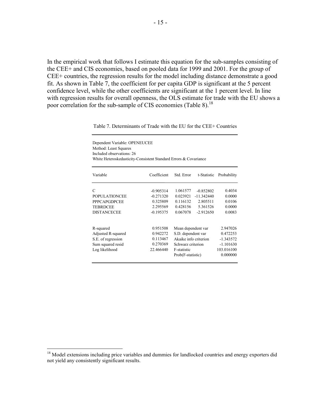In the empirical work that follows I estimate this equation for the sub-samples consisting of the CEE+ and CIS economies, based on pooled data for 1999 and 2001. For the group of CEE+ countries, the regression results for the model including distance demonstrate a good fit. As shown in Table 7, the coefficient for per capita GDP is significant at the 5 percent confidence level, while the other coefficients are significant at the 1 percent level. In line with regression results for overall openness, the OLS estimate for trade with the EU shows a poor correlation for the sub-sample of CIS economies (Table 8).<sup>18</sup>

| Dependent Variable: OPENEUCEE<br>Method: Least Squares<br>Included observations: 26<br>White Heteroskedasticity-Consistent Standard Errors & Covariance |             |                       |              |             |
|---------------------------------------------------------------------------------------------------------------------------------------------------------|-------------|-----------------------|--------------|-------------|
| Variable                                                                                                                                                | Coefficient | Std. Error            | t-Statistic  | Probability |
| $\mathcal{C}$                                                                                                                                           | $-0.905314$ | 1.061577              | $-0.852802$  | 0.4034      |
| <b>POPULATIONCEE</b>                                                                                                                                    | $-0.271320$ | 0.023921              | $-11.342440$ | 0.0000      |
| <b>PPPCAPGDPCEE</b>                                                                                                                                     | 0.325809    | 0.116132              | 2.805511     | 0.0106      |
| <b>TEBRDCEE</b>                                                                                                                                         | 2.295569    | 0.428156              | 5.361526     | 0.0000      |
| <b>DISTANCECEE</b>                                                                                                                                      | $-0.195375$ | 0.067078              | $-2.912650$  | 0.0083      |
| R-squared                                                                                                                                               | 0.951508    | Mean dependent var    |              | 2.947026    |
| Adjusted R-squared                                                                                                                                      | 0.942272    | S.D. dependent var    |              | 0.472253    |
| S.E. of regression                                                                                                                                      | 0.113467    | Akaike info criterion |              | $-1.343572$ |
| Sum squared resid                                                                                                                                       | 0.270369    | Schwarz criterion     |              | $-1.101630$ |
| Log likelihood                                                                                                                                          | 22.466440   | F-statistic           |              | 103.016100  |
|                                                                                                                                                         |             | Prob(F-statistic)     |              | 0.000000    |

Table 7. Determinants of Trade with the EU for the CEE+ Countries

<sup>&</sup>lt;sup>18</sup> Model extensions including price variables and dummies for landlocked countries and energy exporters did not yield any consistently significant results.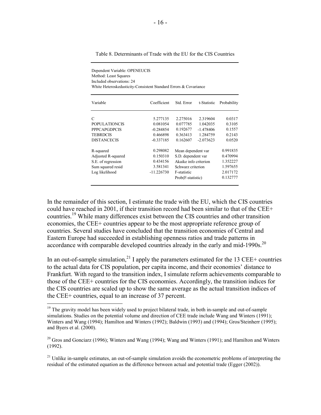| Dependent Variable: OPENEUCIS<br>Method: Least Squares<br>Included observations: 24<br>White Heteroskedasticity-Consistent Standard Errors & Covariance |              |                         |             |             |  |  |  |
|---------------------------------------------------------------------------------------------------------------------------------------------------------|--------------|-------------------------|-------------|-------------|--|--|--|
| Variable                                                                                                                                                | Coefficient  | Std. Error              | t-Statistic | Probability |  |  |  |
| C                                                                                                                                                       | 5.277135     | 2.275016                | 2.319604    | 0.0317      |  |  |  |
| <b>POPULATIONCIS</b>                                                                                                                                    | 0.081054     | 0.077785                | 1.042035    | 0.3105      |  |  |  |
| <b>PPPCAPGDPCIS</b>                                                                                                                                     | $-0.284854$  | 0.192677                | $-1.478406$ | 0.1557      |  |  |  |
| <b>TEBRDCIS</b>                                                                                                                                         | 0.466898     | 0.363413                | 1.284759    | 0.2143      |  |  |  |
| <b>DISTANCECIS</b>                                                                                                                                      | $-0.337185$  | 0.162607                | $-2.073623$ | 0.0520      |  |  |  |
| R-squared                                                                                                                                               | 0.298082     | Mean dependent var      |             | 0.991835    |  |  |  |
| Adjusted R-squared                                                                                                                                      | 0.150310     | S.D. dependent var      |             | 0.470994    |  |  |  |
| S.E. of regression                                                                                                                                      | 0.434156     | Akaike info criterion   |             | 1.352227    |  |  |  |
| Sum squared resid                                                                                                                                       | 3.581341     | Schwarz criterion       |             | 1.597655    |  |  |  |
| Log likelihood                                                                                                                                          | $-11.226730$ | 2.017172<br>F-statistic |             |             |  |  |  |
|                                                                                                                                                         |              | Prob(F-statistic)       |             | 0.132777    |  |  |  |

Table 8. Determinants of Trade with the EU for the CIS Countries

In the remainder of this section, I estimate the trade with the EU, which the CIS countries could have reached in 2001, if their transition record had been similar to that of the CEE+ countries.19 While many differences exist between the CIS countries and other transition economies, the CEE+ countries appear to be the most appropriate reference group of countries. Several studies have concluded that the transition economies of Central and Eastern Europe had succeeded in establishing openness ratios and trade patterns in accordance with comparable developed countries already in the early and mid-1990s.<sup>20</sup>

In an out-of-sample simulation,<sup>21</sup> I apply the parameters estimated for the 13 CEE+ countries to the actual data for CIS population, per capita income, and their economies' distance to Frankfurt. With regard to the transition index, I simulate reform achievements comparable to those of the CEE+ countries for the CIS economies. Accordingly, the transition indices for the CIS countries are scaled up to show the same average as the actual transition indices of the CEE+ countries, equal to an increase of 37 percent.

<sup>&</sup>lt;sup>19</sup> The gravity model has been widely used to project bilateral trade, in both in-sample and out-of-sample simulations. Studies on the potential volume and direction of CEE trade include Wang and Winters (1991); Winters and Wang (1994); Hamilton and Winters (1992); Baldwin (1993) and (1994); Gros/Steinherr (1995); and Byers et al. (2000).

 $20$  Gros and Gonciarz (1996); Winters and Wang (1994); Wang and Winters (1991); and Hamilton and Winters (1992).

 $21$  Unlike in-sample estimates, an out-of-sample simulation avoids the econometric problems of interpreting the residual of the estimated equation as the difference between actual and potential trade (Egger (2002)).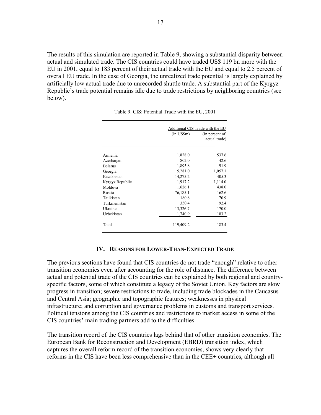The results of this simulation are reported in Table 9, showing a substantial disparity between actual and simulated trade. The CIS countries could have traded US\$ 119 bn more with the EU in 2001, equal to 183 percent of their actual trade with the EU and equal to 2.5 percent of overall EU trade. In the case of Georgia, the unrealized trade potential is largely explained by artificially low actual trade due to unrecorded shuttle trade. A substantial part of the Kyrgyz Republic's trade potential remains idle due to trade restrictions by neighboring countries (see below).

|                 | Additional CIS Trade with the EU |                                 |  |
|-----------------|----------------------------------|---------------------------------|--|
|                 | (In <b>USSm</b> )                | (In percent of<br>actual trade) |  |
| Armenia         | 1,828.0                          | 537.6                           |  |
| Azerbaijan      | 802.0                            | 42.6                            |  |
| <b>Belarus</b>  | 1,895.8                          | 91.9                            |  |
| Georgia         | 5,281.0                          | 1,057.1                         |  |
| Kazakhstan      | 14,275.2                         | 405.3                           |  |
| Kyrgyz Republic | 1,917.2                          | 1,114.0                         |  |
| Moldova         | 1,626.1                          | 438.0                           |  |
| Russia          | 76,185.1                         | 162.6                           |  |
| Tajikistan      | 180.8                            | 70.9                            |  |
| Turkmenistan    | 350.4                            | 92.4                            |  |
| Ukraine         | 13,326.7                         | 170.0                           |  |
| Uzbekistan      | 1,740.9                          | 183.2                           |  |
| Total           | 119,409.2                        | 183.4                           |  |

Table 9. CIS: Potential Trade with the EU, 2001

#### **IV. REASONS FOR LOWER-THAN-EXPECTED TRADE**

The previous sections have found that CIS countries do not trade "enough" relative to other transition economies even after accounting for the role of distance. The difference between actual and potential trade of the CIS countries can be explained by both regional and countryspecific factors, some of which constitute a legacy of the Soviet Union. Key factors are slow progress in transition; severe restrictions to trade, including trade blockades in the Caucasus and Central Asia; geographic and topographic features; weaknesses in physical infrastructure; and corruption and governance problems in customs and transport services. Political tensions among the CIS countries and restrictions to market access in some of the CIS countries' main trading partners add to the difficulties.

The transition record of the CIS countries lags behind that of other transition economies. The European Bank for Reconstruction and Development (EBRD) transition index, which captures the overall reform record of the transition economies, shows very clearly that reforms in the CIS have been less comprehensive than in the CEE+ countries, although all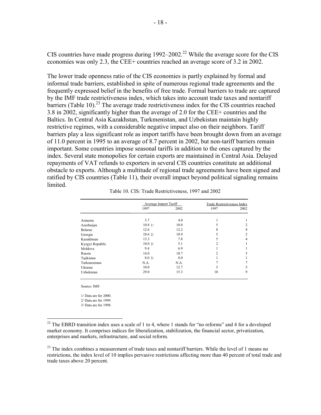CIS countries have made progress during  $1992-2002$ <sup>22</sup> While the average score for the CIS economies was only 2.3, the CEE+ countries reached an average score of 3.2 in 2002.

The lower trade openness ratio of the CIS economies is partly explained by formal and informal trade barriers, established in spite of numerous regional trade agreements and the frequently expressed belief in the benefits of free trade. Formal barriers to trade are captured by the IMF trade restrictiveness index, which takes into account trade taxes and nontariff barriers (Table 10).<sup>23</sup> The average trade restrictiveness index for the CIS countries reached 3.8 in 2002, significantly higher than the average of 2.0 for the CEE+ countries and the Baltics. In Central Asia Kazakhstan, Turkmenistan, and Uzbekistan maintain highly restrictive regimes, with a considerable negative impact also on their neighbors. Tariff barriers play a less significant role as import tariffs have been brought down from an average of 11.0 percent in 1995 to an average of 8.7 percent in 2002, but non-tariff barriers remain important. Some countries impose seasonal tariffs in addition to the ones captured by the index. Several state monopolies for certain exports are maintained in Central Asia. Delayed repayments of VAT refunds to exporters in several CIS countries constitute an additional obstacle to exports. Although a multitude of regional trade agreements have been signed and ratified by CIS countries (Table 11), their overall impact beyond political signaling remains limited.

|                 | Average Import Tariff |      | Trade Restrictiveness Index |                |
|-----------------|-----------------------|------|-----------------------------|----------------|
|                 | 1997                  | 2002 | 1997                        | 2002           |
| Armenia         | 3.7                   | 4.0  |                             |                |
| Azerbaijan      | 10.81/                | 10.8 |                             | 2              |
| <b>Belarus</b>  | 12.6                  | 12.2 | 8                           | 8              |
| Georgia         | 10.62/                | 10.9 | 5                           | $\overline{c}$ |
| Kazakhstan      | 13.3                  | 7.8  | 5                           | 4              |
| Kyrgyz Republic | 10.02/                | 5.1  | 2                           |                |
| Moldova         | 9.4                   | 6.9  |                             |                |
| Russia          | 14.0                  | 10.7 | $\mathfrak{D}$              | 5              |
| Tajikistan      | 8.03/                 | 8.0  |                             |                |
| Turkmenistan    | N.A.                  | N.A. |                             |                |
| Ukraine         | 10.0                  | 12.7 | 5                           | 5              |
| Uzbekistan      | 29.0                  | 15.3 | 10                          | 9              |

Table 10. CIS: Trade Restrictiveness, 1997 and 2002

Source: IMF.

 $\overline{a}$ 

1/ Data are for 2000. 2/ Data are for 1999. 3/ Data are for 1998.

<sup>&</sup>lt;sup>22</sup> The EBRD transition index uses a scale of 1 to 4, where 1 stands for "no reforms" and 4 for a developed market economy. It comprises indices for liberalization, stabilization, the financial sector, privatization, enterprises and markets, infrastructure, and social reform.

 $^{23}$  The index combines a measurement of trade taxes and nontariff barriers. While the level of 1 means no restrictions, the index level of 10 implies pervasive restrictions affecting more than 40 percent of total trade and trade taxes above 20 percent.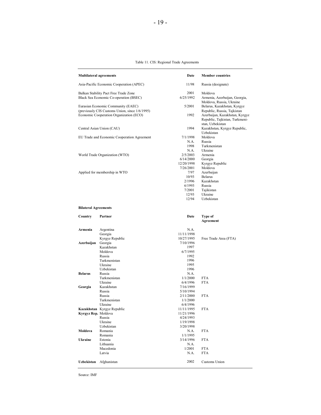#### Table 11. CIS: Regional Trade Agreements

| <b>Multilateral agreements</b>           |                                                                                           | Date       | <b>Member countries</b>                                                                                             |  |
|------------------------------------------|-------------------------------------------------------------------------------------------|------------|---------------------------------------------------------------------------------------------------------------------|--|
| Asia-Pacific Economic Cooperation (APEC) |                                                                                           | 11/98      | Russia (designate)                                                                                                  |  |
| Balkan Stability Pact Free Trade Zone    |                                                                                           | 2001       | Moldova                                                                                                             |  |
| Black Sea Economic Co-operation (BSEC)   |                                                                                           | 6/25/1992  | Armenia, Azerbaijan, Georgia,<br>Moldova, Russia, Ukraine                                                           |  |
| Eurasian Economic Community (EAEC)       |                                                                                           | 5/2001     | Belarus, Kazakhstan, Kyrgyz                                                                                         |  |
|                                          | (previously CIS Customs Union, since 1/6/1995)<br>Economic Cooperation Organization (ECO) | 1992       | Republic, Russia, Tajkistan<br>Azerbaijan, Kazakhstan, Kyrgyz<br>Republic, Tajkistan, Turkmeni-<br>stan, Uzbekistan |  |
|                                          | Central Asian Union (CAU)                                                                 | 1994       | Kazakhstan, Kyrgyz Republic,<br>Uzbekistan                                                                          |  |
|                                          | EU Trade and Economic Cooperation Agreement                                               | 7/1/1998   | Moldova                                                                                                             |  |
|                                          |                                                                                           | N.A.       | Russia                                                                                                              |  |
|                                          |                                                                                           | 1998       | Turkmenistan                                                                                                        |  |
|                                          |                                                                                           | N.A.       | Ukraine                                                                                                             |  |
| World Trade Organization (WTO)           |                                                                                           | 2/5/2003   | Armenia                                                                                                             |  |
|                                          |                                                                                           | 6/14/2000  | Georgia                                                                                                             |  |
|                                          |                                                                                           | 12/20/1998 | Kyrgyz Republic                                                                                                     |  |
|                                          |                                                                                           | 7/26/2001  | Moldova                                                                                                             |  |
|                                          | Applied for membership in WTO                                                             | 7/97       | Azerbaijan                                                                                                          |  |
|                                          |                                                                                           | 10/93      | <b>Belarus</b>                                                                                                      |  |
|                                          |                                                                                           | 2/1996     | Kazakhstan                                                                                                          |  |
|                                          |                                                                                           | 6/1993     | Russia                                                                                                              |  |
|                                          |                                                                                           | 7/2001     | Tajikistan                                                                                                          |  |
|                                          |                                                                                           | 12/93      | Ukraine                                                                                                             |  |
|                                          |                                                                                           | 12/94      | Uzbekistan                                                                                                          |  |
| <b>Bilateral Agreements</b>              |                                                                                           |            |                                                                                                                     |  |
| Country                                  | Partner                                                                                   | Date       | Type of<br>Agreement                                                                                                |  |
| Armenia                                  |                                                                                           | N.A.       |                                                                                                                     |  |
|                                          | Argentina<br>Georgia                                                                      | 11/11/1998 |                                                                                                                     |  |
|                                          | Kyrgyz Republic                                                                           | 10/27/1995 |                                                                                                                     |  |
| Azerbaijan                               | Georgia                                                                                   | 7/10/1996  | Free Trade Area (FTA)                                                                                               |  |
|                                          | Kazakhstan                                                                                | 1997       |                                                                                                                     |  |
|                                          | Moldova                                                                                   | 6/7/1995   |                                                                                                                     |  |
|                                          | Russia                                                                                    | 1992       |                                                                                                                     |  |
|                                          | Turkmenistan                                                                              | 1996       |                                                                                                                     |  |
|                                          | Ukraine                                                                                   | 1995       |                                                                                                                     |  |
|                                          | Uzbekistan                                                                                | 1996       |                                                                                                                     |  |
| <b>Belarus</b>                           | Russia                                                                                    | N.A.       |                                                                                                                     |  |
|                                          | Turkmenistan                                                                              | 1/1/2000   | <b>FTA</b>                                                                                                          |  |
|                                          | Ukraine                                                                                   | 6/4/1996   | <b>FTA</b>                                                                                                          |  |
| Georgia                                  | Kazakhstan                                                                                | 7/16/1999  |                                                                                                                     |  |
|                                          | Russia                                                                                    | 5/10/1994  |                                                                                                                     |  |
|                                          | Russia                                                                                    | 2/11/2000  | <b>FTA</b>                                                                                                          |  |
|                                          | Turkmenistan                                                                              | 1/1/2000   |                                                                                                                     |  |
|                                          | Ukraine                                                                                   | 6/4/1996   |                                                                                                                     |  |
|                                          | Kazakhstan Kyrgyz Republic                                                                | 11/11/1995 | FTA                                                                                                                 |  |
| Kyrgyz Rep. Moldova                      |                                                                                           | 11/21/1996 |                                                                                                                     |  |
|                                          | Russia                                                                                    | 4/24/1993  |                                                                                                                     |  |
|                                          | Ukraine                                                                                   | 1/19/1998  |                                                                                                                     |  |
|                                          | Uzbekistan                                                                                | 3/20/1998  |                                                                                                                     |  |
| Moldova                                  | Romania                                                                                   | N.A.       | <b>FTA</b>                                                                                                          |  |
|                                          | Romania                                                                                   | 1/1/1995   |                                                                                                                     |  |
| <b>Ukraine</b>                           | Estonia                                                                                   | 3/14/1996  | <b>FTA</b>                                                                                                          |  |
|                                          | Lithuania                                                                                 | N.A.       |                                                                                                                     |  |
|                                          | Macedonia                                                                                 | 1/2001     | <b>FTA</b>                                                                                                          |  |
|                                          | Latvia                                                                                    | N.A.       | <b>FTA</b>                                                                                                          |  |
| Uzbekistan                               | Afghanistan                                                                               | 2002       | Customs Union                                                                                                       |  |
|                                          |                                                                                           |            |                                                                                                                     |  |

Source: IMF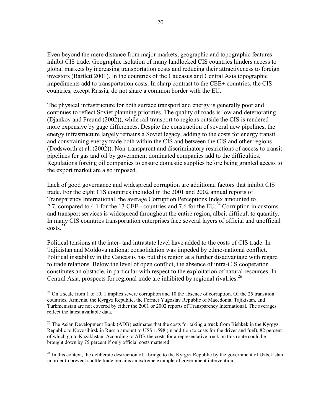Even beyond the mere distance from major markets, geographic and topographic features inhibit CIS trade. Geographic isolation of many landlocked CIS countries hinders access to global markets by increasing transportation costs and reducing their attractiveness to foreign investors (Bartlett 2001). In the countries of the Caucasus and Central Asia topographic impediments add to transportation costs. In sharp contrast to the CEE+ countries, the CIS countries, except Russia, do not share a common border with the EU.

The physical infrastructure for both surface transport and energy is generally poor and continues to reflect Soviet planning priorities. The quality of roads is low and deteriorating (Djankov and Freund (2002)), while rail transport to regions outside the CIS is rendered more expensive by gage differences. Despite the construction of several new pipelines, the energy infrastructure largely remains a Soviet legacy, adding to the costs for energy transit and constraining energy trade both within the CIS and between the CIS and other regions (Dodsworth et al. (2002)). Non-transparent and discriminatory restrictions of access to transit pipelines for gas and oil by government dominated companies add to the difficulties. Regulations forcing oil companies to ensure domestic supplies before being granted access to the export market are also imposed.

Lack of good governance and widespread corruption are additional factors that inhibit CIS trade. For the eight CIS countries included in the 2001 and 2002 annual reports of Transparency International, the average Corruption Perceptions Index amounted to 2.7, compared to 4.1 for the 13 CEE+ countries and 7.6 for the EU.<sup>24</sup> Corruption in customs and transport services is widespread throughout the entire region, albeit difficult to quantify. In many CIS countries transportation enterprises face several layers of official and unofficial  $costs.<sup>25</sup>$ 

Political tensions at the inter- and intrastate level have added to the costs of CIS trade. In Tajikistan and Moldova national consolidation was impeded by ethno-national conflict. Political instability in the Caucasus has put this region at a further disadvantage with regard to trade relations. Below the level of open conflict, the absence of intra-CIS cooperation constitutes an obstacle, in particular with respect to the exploitation of natural resources. In Central Asia, prospects for regional trade are inhibited by regional rivalries.<sup>26</sup>

1

 $^{24}$  On a scale from 1 to 10, 1 implies severe corruption and 10 the absence of corruption. Of the 25 transition countries, Armenia, the Kyrgyz Republic, the Former Yugoslav Republic of Macedonia, Tajikistan, and Turkmenistan are not covered by either the 2001 or 2002 reports of Transparency International. The averages reflect the latest available data.

<sup>&</sup>lt;sup>25</sup> The Asian Development Bank (ADB) estimates that the costs for taking a truck from Bishkek in the Kyrgyz Republic to Novosibirsk in Russia amount to US\$ 1,598 (in addition to costs for the driver and fuel), 82 percent of which go to Kazakhstan. According to ADB the costs for a representative truck on this route could be brought down by 75 percent if only official costs mattered.

 $^{26}$  In this context, the deliberate destruction of a bridge to the Kyrgyz Republic by the government of Uzbekistan in order to prevent shuttle trade remains an extreme example of government intervention.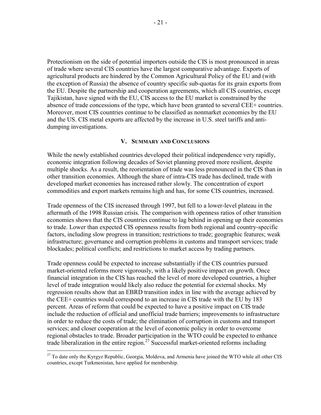Protectionism on the side of potential importers outside the CIS is most pronounced in areas of trade where several CIS countries have the largest comparative advantage. Exports of agricultural products are hindered by the Common Agricultural Policy of the EU and (with the exception of Russia) the absence of country specific sub-quotas for its grain exports from the EU. Despite the partnership and cooperation agreements, which all CIS countries, except Tajikistan, have signed with the EU, CIS access to the EU market is constrained by the absence of trade concessions of the type, which have been granted to several CEE+ countries. Moreover, most CIS countries continue to be classified as nonmarket economies by the EU and the US. CIS metal exports are affected by the increase in U.S. steel tariffs and antidumping investigations.

#### **V. SUMMARY AND CONCLUSIONS**

While the newly established countries developed their political independence very rapidly, economic integration following decades of Soviet planning proved more resilient, despite multiple shocks. As a result, the reorientation of trade was less pronounced in the CIS than in other transition economies. Although the share of intra-CIS trade has declined, trade with developed market economies has increased rather slowly. The concentration of export commodities and export markets remains high and has, for some CIS countries, increased.

Trade openness of the CIS increased through 1997, but fell to a lower-level plateau in the aftermath of the 1998 Russian crisis. The comparison with openness ratios of other transition economies shows that the CIS countries continue to lag behind in opening up their economies to trade. Lower than expected CIS openness results from both regional and country-specific factors, including slow progress in transition; restrictions to trade; geographic features; weak infrastructure; governance and corruption problems in customs and transport services; trade blockades; political conflicts; and restrictions to market access by trading partners.

Trade openness could be expected to increase substantially if the CIS countries pursued market-oriented reforms more vigorously, with a likely positive impact on growth. Once financial integration in the CIS has reached the level of more developed countries, a higher level of trade integration would likely also reduce the potential for external shocks. My regression results show that an EBRD transition index in line with the average achieved by the CEE+ countries would correspond to an increase in CIS trade with the EU by 183 percent. Areas of reform that could be expected to have a positive impact on CIS trade include the reduction of official and unofficial trade barriers; improvements to infrastructure in order to reduce the costs of trade; the elimination of corruption in customs and transport services; and closer cooperation at the level of economic policy in order to overcome regional obstacles to trade. Broader participation in the WTO could be expected to enhance trade liberalization in the entire region.<sup>27</sup> Successful market-oriented reforms including

<sup>&</sup>lt;sup>27</sup> To date only the Kyrgyz Republic, Georgia, Moldova, and Armenia have joined the WTO while all other CIS countries, except Turkmenistan, have applied for membership.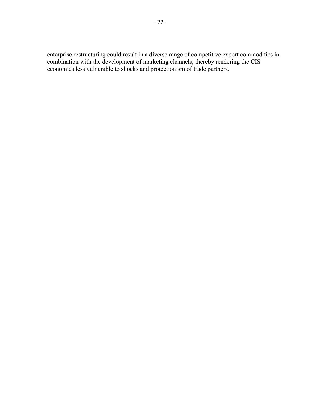enterprise restructuring could result in a diverse range of competitive export commodities in combination with the development of marketing channels, thereby rendering the CIS economies less vulnerable to shocks and protectionism of trade partners.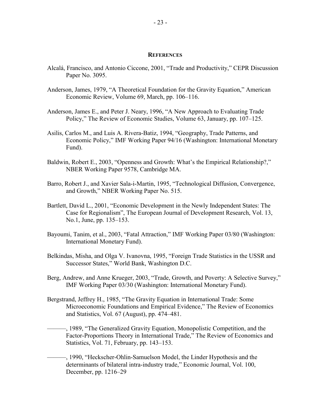#### **REFERENCES**

- Alcalá, Francisco, and Antonio Ciccone, 2001, "Trade and Productivity," CEPR Discussion Paper No. 3095.
- Anderson, James, 1979, "A Theoretical Foundation for the Gravity Equation," American Economic Review, Volume 69, March, pp. 106–116.
- Anderson, James E., and Peter J. Neary, 1996, "A New Approach to Evaluating Trade Policy," The Review of Economic Studies, Volume 63, January, pp. 107–125.
- Asilis, Carlos M., and Luis A. Rivera-Batiz, 1994, "Geography, Trade Patterns, and Economic Policy," IMF Working Paper 94/16 (Washington: International Monetary Fund).
- Baldwin, Robert E., 2003, "Openness and Growth: What's the Empirical Relationship?," NBER Working Paper 9578, Cambridge MA.
- Barro, Robert J., and Xavier Sala-i-Martin, 1995, "Technological Diffusion, Convergence, and Growth," NBER Working Paper No. 515.
- Bartlett, David L., 2001, "Economic Development in the Newly Independent States: The Case for Regionalism", The European Journal of Development Research, Vol. 13, No.1, June, pp. 135–153.
- Bayoumi, Tanim, et al., 2003, "Fatal Attraction," IMF Working Paper 03/80 (Washington: International Monetary Fund).
- Belkindas, Misha, and Olga V. Ivanovna, 1995, "Foreign Trade Statistics in the USSR and Successor States," World Bank, Washington D.C.
- Berg, Andrew, and Anne Krueger, 2003, "Trade, Growth, and Poverty: A Selective Survey," IMF Working Paper 03/30 (Washington: International Monetary Fund).
- Bergstrand, Jeffrey H., 1985, "The Gravity Equation in International Trade: Some Microeconomic Foundations and Empirical Evidence," The Review of Economics and Statistics, Vol. 67 (August), pp. 474–481.
	- ———, 1989, "The Generalized Gravity Equation, Monopolistic Competition, and the Factor-Proportions Theory in International Trade," The Review of Economics and Statistics, Vol. 71, February, pp. 143–153.
	- ———, 1990, "Heckscher-Ohlin-Samuelson Model, the Linder Hypothesis and the determinants of bilateral intra-industry trade," Economic Journal, Vol. 100, December, pp. 1216–29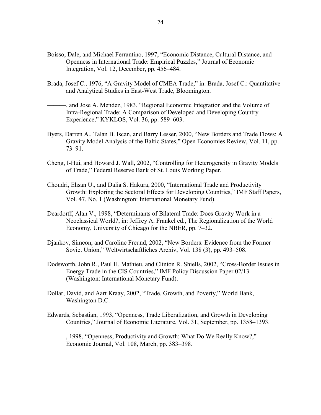- Boisso, Dale, and Michael Ferrantino, 1997, "Economic Distance, Cultural Distance, and Openness in International Trade: Empirical Puzzles," Journal of Economic Integration, Vol. 12, December, pp. 456–484.
- Brada, Josef C., 1976, "A Gravity Model of CMEA Trade," in: Brada, Josef C.: Quantitative and Analytical Studies in East-West Trade, Bloomington.
- ———, and Jose A. Mendez, 1983, "Regional Economic Integration and the Volume of Intra-Regional Trade: A Comparison of Developed and Developing Country Experience," KYKLOS, Vol. 36, pp. 589–603.
- Byers, Darren A., Talan B. Iscan, and Barry Lesser, 2000, "New Borders and Trade Flows: A Gravity Model Analysis of the Baltic States," Open Economies Review, Vol. 11, pp. 73–91.
- Cheng, I-Hui, and Howard J. Wall, 2002, "Controlling for Heterogeneity in Gravity Models of Trade," Federal Reserve Bank of St. Louis Working Paper.
- Choudri, Ehsan U., and Dalia S. Hakura, 2000, "International Trade and Productivity Growth: Exploring the Sectoral Effects for Developing Countries," IMF Staff Papers, Vol. 47, No. 1 (Washington: International Monetary Fund).
- Deardorff, Alan V., 1998, "Determinants of Bilateral Trade: Does Gravity Work in a Neoclassical World?, in: Jeffrey A. Frankel ed., The Regionalization of the World Economy, University of Chicago for the NBER, pp. 7–32.
- Djankov, Simeon, and Caroline Freund, 2002, "New Borders: Evidence from the Former Soviet Union," Weltwirtschaftliches Archiv, Vol. 138 (3), pp. 493–508.
- Dodsworth, John R., Paul H. Mathieu, and Clinton R. Shiells, 2002, "Cross-Border Issues in Energy Trade in the CIS Countries," IMF Policy Discussion Paper 02/13 (Washington: International Monetary Fund).
- Dollar, David, and Aart Kraay, 2002, "Trade, Growth, and Poverty," World Bank, Washington D.C.
- Edwards, Sebastian, 1993, "Openness, Trade Liberalization, and Growth in Developing Countries," Journal of Economic Literature, Vol. 31, September, pp. 1358–1393.
	- ———, 1998, "Openness, Productivity and Growth: What Do We Really Know?," Economic Journal, Vol. 108, March, pp. 383–398.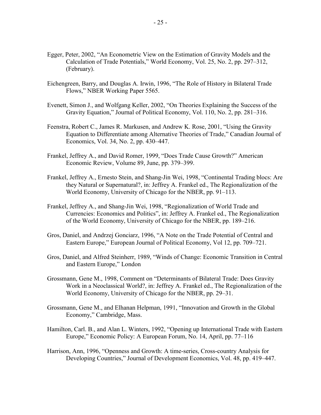- Egger, Peter, 2002, "An Econometric View on the Estimation of Gravity Models and the Calculation of Trade Potentials," World Economy, Vol. 25, No. 2, pp. 297–312, (February).
- Eichengreen, Barry, and Douglas A. Irwin, 1996, "The Role of History in Bilateral Trade Flows," NBER Working Paper 5565.
- Evenett, Simon J., and Wolfgang Keller, 2002, "On Theories Explaining the Success of the Gravity Equation," Journal of Political Economy, Vol. 110, No. 2, pp. 281–316.
- Feenstra, Robert C., James R. Markusen, and Andrew K. Rose, 2001, "Using the Gravity Equation to Differentiate among Alternative Theories of Trade," Canadian Journal of Economics, Vol. 34, No. 2, pp. 430–447.
- Frankel, Jeffrey A., and David Romer, 1999, "Does Trade Cause Growth?" American Economic Review, Volume 89, June, pp. 379–399.
- Frankel, Jeffrey A., Ernesto Stein, and Shang-Jin Wei, 1998, "Continental Trading blocs: Are they Natural or Supernatural?, in: Jeffrey A. Frankel ed., The Regionalization of the World Economy, University of Chicago for the NBER, pp. 91–113.
- Frankel, Jeffrey A., and Shang-Jin Wei, 1998, "Regionalization of World Trade and Currencies: Economics and Politics", in: Jeffrey A. Frankel ed., The Regionalization of the World Economy, University of Chicago for the NBER, pp. 189–216.
- Gros, Daniel, and Andrzej Gonciarz, 1996, "A Note on the Trade Potential of Central and Eastern Europe," European Journal of Political Economy, Vol 12, pp. 709–721.
- Gros, Daniel, and Alfred Steinherr, 1989, "Winds of Change: Economic Transition in Central and Eastern Europe," London
- Grossmann, Gene M., 1998, Comment on "Determinants of Bilateral Trade: Does Gravity Work in a Neoclassical World?, in: Jeffrey A. Frankel ed., The Regionalization of the World Economy, University of Chicago for the NBER, pp. 29–31.
- Grossmann, Gene M., and Elhanan Helpman, 1991, "Innovation and Growth in the Global Economy," Cambridge, Mass.
- Hamilton, Carl. B., and Alan L. Winters, 1992, "Opening up International Trade with Eastern Europe," Economic Policy: A European Forum, No. 14, April, pp. 77–116
- Harrison, Ann, 1996, "Openness and Growth: A time-series, Cross-country Analysis for Developing Countries," Journal of Development Economics, Vol. 48, pp. 419–447.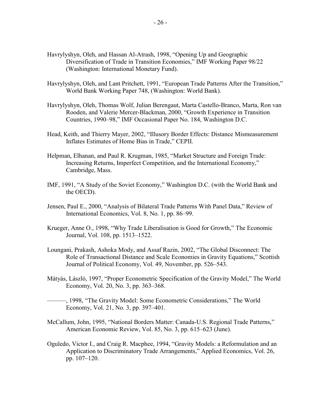- Havrylyshyn, Oleh, and Hassan Al-Atrash, 1998, "Opening Up and Geographic Diversification of Trade in Transition Economies," IMF Working Paper 98/22 (Washington: International Monetary Fund).
- Havrylyshyn, Oleh, and Lant Pritchett, 1991, "European Trade Patterns After the Transition," World Bank Working Paper 748, (Washington: World Bank).
- Havrylyshyn, Oleh, Thomas Wolf, Julian Berengaut, Marta Castello-Branco, Marta, Ron van Rooden, and Valerie Mercer-Blackman, 2000, "Growth Experience in Transition Countries, 1990–98," IMF Occasional Paper No. 184, Washington D.C.
- Head, Keith, and Thierry Mayer, 2002, "Illusory Border Effects: Distance Mismeasurement Inflates Estimates of Home Bias in Trade," CEPII.
- Helpman, Elhanan, and Paul R. Krugman, 1985, "Market Structure and Foreign Trade: Increasing Returns, Imperfect Competition, and the International Economy," Cambridge, Mass.
- IMF, 1991, "A Study of the Soviet Economy," Washington D.C. (with the World Bank and the OECD).
- Jensen, Paul E., 2000, "Analysis of Bilateral Trade Patterns With Panel Data," Review of International Economics, Vol. 8, No. 1, pp. 86–99.
- Krueger, Anne O., 1998, "Why Trade Liberalisation is Good for Growth," The Economic Journal, Vol. 108, pp. 1513–1522.
- Loungani, Prakash, Ashoka Mody, and Assaf Razin, 2002, "The Global Disconnect: The Role of Transactional Distance and Scale Economies in Gravity Equations," Scottish Journal of Political Economy, Vol. 49, November, pp. 526–543.
- Mátyás, László, 1997, "Proper Econometric Specification of the Gravity Model," The World Economy, Vol. 20, No. 3, pp. 363–368.
- ———, 1998, "The Gravity Model: Some Econometric Considerations," The World Economy, Vol. 21, No. 3, pp. 397–401.
- McCallum, John, 1995, "National Borders Matter: Canada-U.S. Regional Trade Patterns," American Economic Review, Vol. 85, No. 3, pp. 615–623 (June).
- Oguledo, Victor I., and Craig R. Macphee, 1994, "Gravity Models: a Reformulation and an Application to Discriminatory Trade Arrangements," Applied Economics, Vol. 26, pp. 107–120.